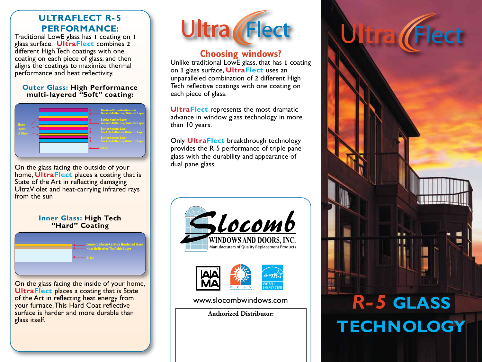## **ULTRAFLECT R- 5 PERFORMANCE:**

Traditional LowE glass has **1** coating on **1** glass surface. **UltraFlect** combines **2** different High Tech coatings with one coating on each piece of glass, and then aligns the coatings to maximize thermal performance and heat reflectivity.

### **Outer Glass: High Performance multi-layered "Soft" coating:**



On the glass facing the outside of your home, **UltraFlect** places a coating that is State of the Art in reflecting damaging UltraViolet and heat-carrying infrared rays from the sun

### **Inner Glass: High Tech "Hard" Coating**



On the glass facing the inside of your home, **UltraFlect places a coating that is State** of the Art in reflecting heat energy from your furnace.This Hard Coat reflective surface is harder and more durable than glass itself.



## **Choosing windows?**

Unlike traditional LowE glass, that has **1** coating on **1** glass surface, **UltraFlect** uses an unparalleled combination of **2** different High Tech reflective coatings with one coating on each piece of glass.

**UltraFlect** represents the most dramatic advance in window glass technology in more than 10 years.

Only **UltraFlect** breakthrough technology provides the R-5 performance of triple pane glass with the durability and appearance of dual pane glass.





www.slocombwindows.com

**Authorized Distributor:**

# *R- 5* **GLASS TECHNOLOGY**